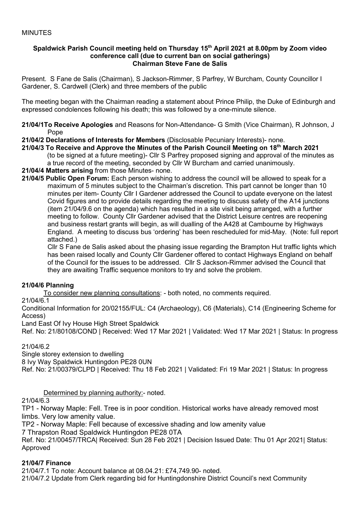#### **Spaldwick Parish Council meeting held on Thursday 15 th April 2021 at 8.00pm by Zoom video conference call (due to current ban on social gatherings) Chairman Steve Fane de Salis**

Present. S Fane de Salis (Chairman), S Jackson-Rimmer, S Parfrey, W Burcham, County Councillor I Gardener, S. Cardwell (Clerk) and three members of the public

The meeting began with the Chairman reading a statement about Prince Philip, the Duke of Edinburgh and expressed condolences following his death; this was followed by a one-minute silence.

- **21/04/1To Receive Apologies** and Reasons for Non-Attendance- G Smith (Vice Chairman), R Johnson, J Pope
- **21/04/2 Declarations of Interests for Members** (Disclosable Pecuniary Interests)- none.
- **21/04/3 To Receive and Approve the Minutes of the Parish Council Meeting on 18 th March 2021** (to be signed at a future meeting)- Cllr S Parfrey proposed signing and approval of the minutes as a true record of the meeting, seconded by Cllr W Burcham and carried unanimously.
- **21/04/4 Matters arising** from those Minutes- none.
- **21/04/5 Public Open Forum:** Each person wishing to address the council will be allowed to speak for a maximum of 5 minutes subject to the Chairman's discretion. This part cannot be longer than 10 minutes per item- County Cllr I Gardener addressed the Council to update everyone on the latest Covid figures and to provide details regarding the meeting to discuss safety of the A14 junctions (item 21/04/9.6 on the agenda) which has resulted in a site visit being arranged, with a further meeting to follow. County Cllr Gardener advised that the District Leisure centres are reopening and business restart grants will begin, as will dualling of the A428 at Cambourne by Highways England. A meeting to discuss bus 'ordering' has been rescheduled for mid-May. (Note: full report attached.)

Cllr S Fane de Salis asked about the phasing issue regarding the Brampton Hut traffic lights which has been raised locally and County Cllr Gardener offered to contact Highways England on behalf of the Council for the issues to be addressed. Cllr S Jackson-Rimmer advised the Council that they are awaiting Traffic sequence monitors to try and solve the problem.

### **21/04/6 Planning**

To consider new planning consultations: - both noted, no comments required.

21/04/6.1

Conditional Information for 20/02155/FUL: C4 (Archaeology), C6 (Materials), C14 (Engineering Scheme for Access)

Land East Of Ivy House High Street Spaldwick

Ref. No: 21/80108/COND | Received: Wed 17 Mar 2021 | Validated: Wed 17 Mar 2021 | Status: In progress

### 21/04/6.2

Single storey extension to dwelling

8 Ivy Way Spaldwick Huntingdon PE28 0UN

Ref. No: 21/00379/CLPD | Received: Thu 18 Feb 2021 | Validated: Fri 19 Mar 2021 | Status: In progress

Determined by planning authority:- noted.

21/04/6.3

TP1 - Norway Maple: Fell. Tree is in poor condition. Historical works have already removed most limbs. Very low amenity value.

TP2 - Norway Maple: Fell because of excessive shading and low amenity value

7 Thrapston Road Spaldwick Huntingdon PE28 0TA

Ref. No: 21/00457/TRCA| Received: Sun 28 Feb 2021 | Decision Issued Date: Thu 01 Apr 2021| Status: Approved

### **21/04/7 Finance**

21/04/7.1 To note: Account balance at 08.04.21: £74,749.90- noted.

21/04/7.2 Update from Clerk regarding bid for Huntingdonshire District Council's next Community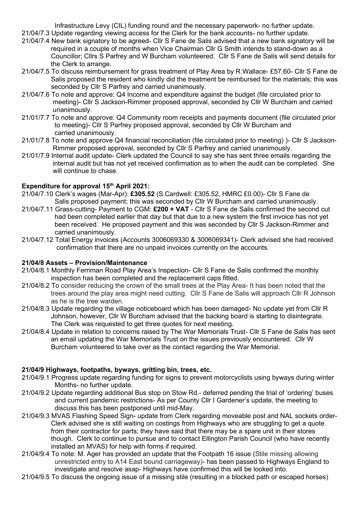Infrastructure Levy (CIL) funding round and the necessary paperwork- no further update.

- 21/04/7.3 Update regarding viewing access for the Clerk for the bank accounts- no further update.
- 21/04/7.4 New bank signatory to be agreed- Cllr S Fane de Salis advised that a new bank signatory will be required in a couple of months when Vice Chairman Cllr G Smith intends to stand-down as a Councillor; Cllrs S Parfrey and W Burcham volunteered. Cllr S Fane de Salis will send details for the Clerk to arrange.
- 21/04/7.5 To discuss reimbursement for grass treatment of Play Area by R.Wallace- £57.60- Cllr S Fane de Salis proposed the resident who kindly did the treatment be reimbursed for the materials; this was seconded by Cllr S Parfrey and carried unanimously.
- 21/04/7.6 To note and approve: Q4 Income and expenditure against the budget (file circulated prior to meeting)- Cllr S Jackson-Rimmer proposed approval, seconded by Cllr W Burcham and carried unanimously.
- 21/01/7.7 To note and approve: Q4 Community room receipts and payments document (file circulated prior to meeting)- Cllr S Parfrey proposed approval, seconded by Cllr W Burcham and carried unanimously.
- 21/01/7.8 To note and approve Q4 financial reconciliation (file circulated prior to meeting) )- Cllr S Jackson- Rimmer proposed approval, seconded by Cllr S Parfrey and carried unanimously.
- 21/01/7.9 Internal audit update- Clerk updated the Council to say she has sent three emails regarding the internal audit but has not yet received confirmation as to when the audit can be completed. She will continue to chase.

# **Expenditure for approval 15 th April 2021:**

- 21/04/7.10 Clerk's wages (Mar-Apr): **£305.52** (S.Cardwell: £305.52, HMRC £0.00)- Cllr S Fane de Salis proposed payment; this was seconded by Cllr W Burcham and carried unanimously.
- 21/04/7.11 Grass-cutting- Payment to CGM: **£200 + VAT** Cllr S Fane de Salis confirmed the second cut had been completed earlier that day but that due to a new system the first invoice has not yet been received. He proposed payment and this was seconded by Cllr S Jackson-Rimmer and carried unanimously.
- 21/04/7.12 Total Energy invoices (Accounts 3006069330 & 3006069341)- Clerk advised she had received confirmation that there are no unpaid invoices currently on the accounts.

### **21/04/8 Assets – Provision/Maintenance**

- 21/04/8.1 Monthly Ferriman Road Play Area's Inspection- Cllr S Fane de Salis confirmed the monthly inspection has been completed and the replacement caps fitted.
- 21/04/8.2 To consider reducing the crown of the small trees at the Play Area- It has been noted that the trees around the play area might need cutting. Cllr S Fane de Salis will approach Cllr R Johnson as he is the tree warden.
- 21/04/8.3 Update regarding the village noticeboard which has been damaged- No update yet from Cllr R Johnson, however, Cllr W Burcham advised that the backing board is starting to disintegrate. The Clerk was requested to get three quotes for next meeting.
- 21/04/8.4 Update in relation to concerns raised by The War Memorials Trust- Cllr S Fane de Salis has sent an email updating the War Memorials Trust on the issues previously encountered. Cllr W Burcham volunteered to take over as the contact regarding the War Memorial.

### **21/04/9 Highways, footpaths, byways, gritting bin, trees, etc.**

- 21/04/9.1 Progress update regarding funding for signs to prevent motorcyclists using byways during winter Months- no further update.
- 21/04/9.2 Update regarding additional Bus stop on Stow Rd.- deferred pending the trial of 'ordering' buses and current pandemic restrictions- As per County Cllr I Gardener's update, the meeting to discuss this has been postponed until mid-May.
- 21/04/9.3 MVAS Flashing Speed Sign- update from Clerk regarding moveable post and NAL sockets order- Clerk advised she is still waiting on costings from Highways who are struggling to get a quote from their contractor for parts; they have said that there may be a spare unit in their stores though. Clerk to continue to pursue and to contact Ellington Parish Council (who have recently installed an MVAS) for help with forms if required.
- 21/04/9.4 To note: M. Ager has provided an update that the Footpath 16 issue (Stile missing allowing unrestricted entry to A14 East bound carriageway)- has been passed to Highways England to investigate and resolve asap- Highways have confirmed this will be looked into.
- 21/04/9.5 To discuss the ongoing issue of a missing stile (resulting in a blocked path or escaped horses)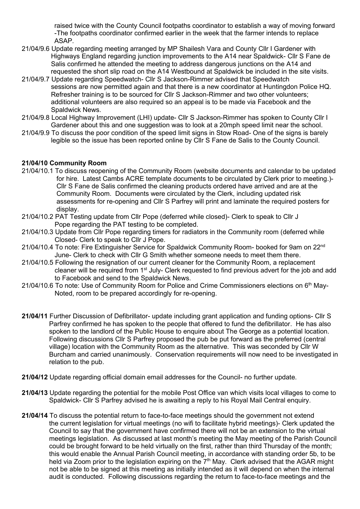raised twice with the County Council footpaths coordinator to establish a way of moving forward -The footpaths coordinator confirmed earlier in the week that the farmer intends to replace ASAP.

- 21/04/9.6 Update regarding meeting arranged by MP Shailesh Vara and County Cllr I Gardener with Highways England regarding junction improvements to the A14 near Spaldwick- Cllr S Fane de Salis confirmed he attended the meeting to address dangerous junctions on the A14 and requested the short slip road on the A14 Westbound at Spaldwick be included in the site visits.
- 21/04/9.7 Update regarding Speedwatch- Cllr S Jackson-Rimmer advised that Speedwatch sessions are now permitted again and that there is a new coordinator at Huntingdon Police HQ. Refresher training is to be sourced for Cllr S Jackson-Rimmer and two other volunteers; additional volunteers are also required so an appeal is to be made via Facebook and the Spaldwick News.
- 21/04/9.8 Local Highway Improvement (LHI) update- Cllr S Jackson-Rimmer has spoken to County Cllr I Gardener about this and one suggestion was to look at a 20mph speed limit near the school.
- 21/04/9.9 To discuss the poor condition of the speed limit signs in Stow Road- One of the signs is barely legible so the issue has been reported online by Cllr S Fane de Salis to the County Council.

# **21/04/10 Community Room**

- 21/04/10.1 To discuss reopening of the Community Room (website documents and calendar to be updated for hire. Latest Cambs ACRE template documents to be circulated by Clerk prior to meeting.)- Cllr S Fane de Salis confirmed the cleaning products ordered have arrived and are at the Community Room. Documents were circulated by the Clerk, including updated risk assessments for re-opening and Cllr S Parfrey will print and laminate the required posters for display.
- 21/04/10.2 PAT Testing update from Cllr Pope (deferred while closed)- Clerk to speak to Cllr J Pope regarding the PAT testing to be completed.
- 21/04/10.3 Update from Cllr Pope regarding timers for radiators in the Community room (deferred while Closed- Clerk to speak to Cllr J Pope.
- 21/04/10.4 To note: Fire Extinguisher Service for Spaldwick Community Room- booked for 9am on 22<sup>nd</sup> June- Clerk to check with Cllr G Smith whether someone needs to meet them there.
- 21/04/10.5 Following the resignation of our current cleaner for the Community Room, a replacement cleaner will be required from 1<sup>st</sup> July- Clerk requested to find previous advert for the job and add to Facebook and send to the Spaldwick News.
- 21/04/10.6 To note: Use of Community Room for Police and Crime Commissioners elections on 6<sup>th</sup> May-Noted, room to be prepared accordingly for re-opening.
- **21/04/11** Further Discussion of Defibrillator- update including grant application and funding options- Cllr S Parfrey confirmed he has spoken to the people that offered to fund the defibrillator. He has also spoken to the landlord of the Public House to enquire about The George as a potential location. Following discussions Cllr S Parfrey proposed the pub be put forward as the preferred (central village) location with the Community Room as the alternative. This was seconded by Cllr W Burcham and carried unanimously. Conservation requirements will now need to be investigated in relation to the pub.
- **21/04/12** Update regarding official domain email addresses for the Council- no further update.
- **21/04/13** Update regarding the potential for the mobile Post Office van which visits local villages to come to Spaldwick- Cllr S Parfrey advised he is awaiting a reply to his Royal Mail Central enquiry.
- **21/04/14** To discuss the potential return to face-to-face meetings should the government not extend the current legislation for virtual meetings (no wifi to facilitate hybrid meetings)- Clerk updated the Council to say that the government have confirmed there will not be an extension to the virtual meetings legislation. As discussed at last month's meeting the May meeting of the Parish Council could be brought forward to be held virtually on the first, rather than third Thursday of the month; this would enable the Annual Parish Council meeting, in accordance with standing order 5b, to be held via Zoom prior to the legislation expiring on the  $7<sup>th</sup>$  May. Clerk advised that the AGAR might not be able to be signed at this meeting as initially intended as it will depend on when the internal audit is conducted. Following discussions regarding the return to face-to-face meetings and the